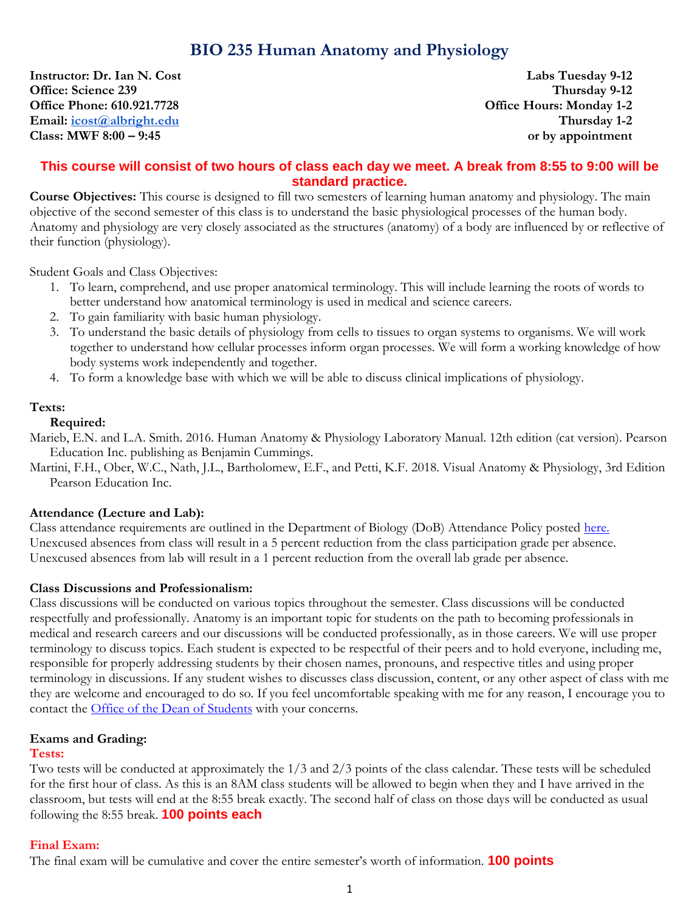**Instructor: Dr. Ian N. Cost** Labs Tuesday 9-12<br> **Office:** Science 239 Thursday 9-12 **Office: Science 239 Office Phone: 610.921.7728 Office Hours: Monday 1-2**<br> **Email:** icost@albright.edu **Thursday 1-2**  $Email: [icost@albright.edu](mailto:icost@albright.edu)$ **Class: MWF 8:00 – 9:45 or by appointment**

# **This course will consist of two hours of class each day we meet. A break from 8:55 to 9:00 will be standard practice.**

**Course Objectives:** This course is designed to fill two semesters of learning human anatomy and physiology. The main objective of the second semester of this class is to understand the basic physiological processes of the human body. Anatomy and physiology are very closely associated as the structures (anatomy) of a body are influenced by or reflective of their function (physiology).

Student Goals and Class Objectives:

- 1. To learn, comprehend, and use proper anatomical terminology. This will include learning the roots of words to better understand how anatomical terminology is used in medical and science careers.
- 2. To gain familiarity with basic human physiology.
- 3. To understand the basic details of physiology from cells to tissues to organ systems to organisms. We will work together to understand how cellular processes inform organ processes. We will form a working knowledge of how body systems work independently and together.
- 4. To form a knowledge base with which we will be able to discuss clinical implications of physiology.

### **Texts:**

### **Required:**

Marieb, E.N. and L.A. Smith. 2016. Human Anatomy & Physiology Laboratory Manual. 12th edition (cat version). Pearson Education Inc. publishing as Benjamin Cummings.

Martini, F.H., Ober, W.C., Nath, J.L., Bartholomew, E.F., and Petti, K.F. 2018. Visual Anatomy & Physiology, 3rd Edition Pearson Education Inc.

# **Attendance (Lecture and Lab):**

Class attendance requirements are outlined in the Department of Biology (DoB) Attendance Policy posted [here.](https://www.albright.edu/academic/undergraduate-programs/biology/) Unexcused absences from class will result in a 5 percent reduction from the class participation grade per absence. Unexcused absences from lab will result in a 1 percent reduction from the overall lab grade per absence.

#### **Class Discussions and Professionalism:**

Class discussions will be conducted on various topics throughout the semester. Class discussions will be conducted respectfully and professionally. Anatomy is an important topic for students on the path to becoming professionals in medical and research careers and our discussions will be conducted professionally, as in those careers. We will use proper terminology to discuss topics. Each student is expected to be respectful of their peers and to hold everyone, including me, responsible for properly addressing students by their chosen names, pronouns, and respective titles and using proper terminology in discussions. If any student wishes to discusses class discussion, content, or any other aspect of class with me they are welcome and encouraged to do so. If you feel uncomfortable speaking with me for any reason, I encourage you to contact the **Office** of the Dean of Students with your concerns.

# **Exams and Grading:**

#### **Tests:**

Two tests will be conducted at approximately the 1/3 and 2/3 points of the class calendar. These tests will be scheduled for the first hour of class. As this is an 8AM class students will be allowed to begin when they and I have arrived in the classroom, but tests will end at the 8:55 break exactly. The second half of class on those days will be conducted as usual following the 8:55 break. **100 points each**

# **Final Exam:**

The final exam will be cumulative and cover the entire semester's worth of information. **100 points**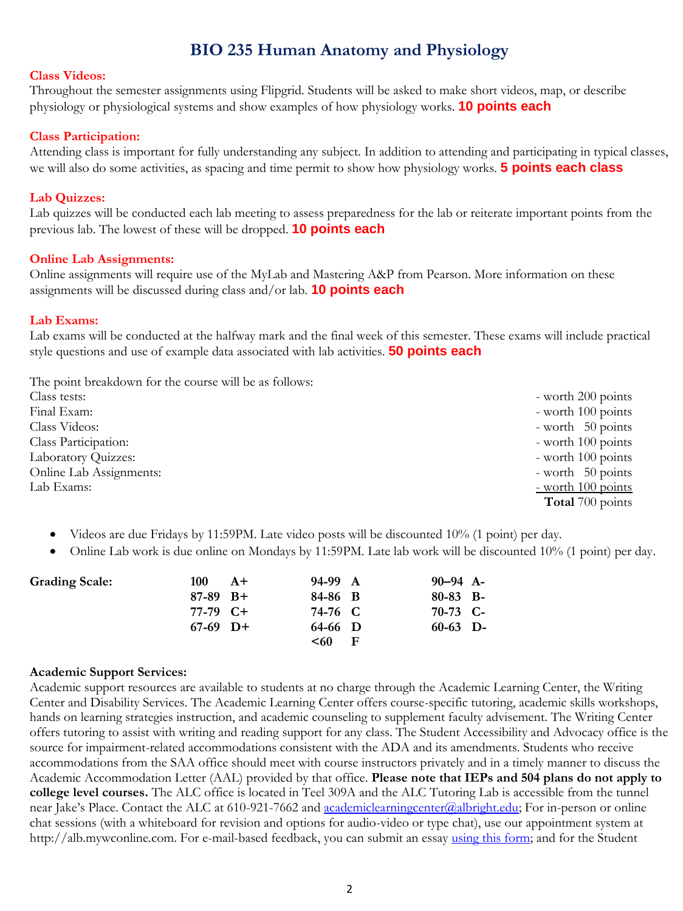#### **Class Videos:**

Throughout the semester assignments using Flipgrid. Students will be asked to make short videos, map, or describe physiology or physiological systems and show examples of how physiology works. **10 points each**

#### **Class Participation:**

Attending class is important for fully understanding any subject. In addition to attending and participating in typical classes, we will also do some activities, as spacing and time permit to show how physiology works. **5 points each class**

#### **Lab Quizzes:**

Lab quizzes will be conducted each lab meeting to assess preparedness for the lab or reiterate important points from the previous lab. The lowest of these will be dropped. **10 points each**

#### **Online Lab Assignments:**

Online assignments will require use of the MyLab and Mastering A&P from Pearson. More information on these assignments will be discussed during class and/or lab. **10 points each**

#### **Lab Exams:**

Lab exams will be conducted at the halfway mark and the final week of this semester. These exams will include practical style questions and use of example data associated with lab activities. **50 points each**

The point breakdown for the course will be as follows:

| Class tests:               | - worth 200 points         |
|----------------------------|----------------------------|
| Final Exam:                | - worth 100 points         |
| Class Videos:              | - worth $50$ points        |
| Class Participation:       | - worth 100 points         |
| <b>Laboratory Quizzes:</b> | - worth 100 points         |
| Online Lab Assignments:    | - worth $50$ points        |
| Lab Exams:                 | $\frac{-$ worth 100 points |
|                            | <b>Total</b> 700 points    |

- Videos are due Fridays by 11:59PM. Late video posts will be discounted 10% (1 point) per day.
- Online Lab work is due online on Mondays by 11:59PM. Late lab work will be discounted 10% (1 point) per day.

| <b>Grading Scale:</b> | 100        | $A+$ | 94-99 A |     | $90 - 94$ A- |  |
|-----------------------|------------|------|---------|-----|--------------|--|
|                       | $87-89$ B+ |      | 84-86 B |     | $80-83$ B-   |  |
|                       | $77-79$ C+ |      | 74-76 C |     | $70-73$ C-   |  |
|                       | $67-69$ D+ |      | 64-66 D |     | $60-63$ D-   |  |
|                       |            |      | < 60    | - F |              |  |

#### **Academic Support Services:**

Academic support resources are available to students at no charge through the Academic Learning Center, the Writing Center and Disability Services. The Academic Learning Center offers course-specific tutoring, academic skills workshops, hands on learning strategies instruction, and academic counseling to supplement faculty advisement. The Writing Center offers tutoring to assist with writing and reading support for any class. The Student Accessibility and Advocacy office is the source for impairment-related accommodations consistent with the ADA and its amendments. Students who receive accommodations from the SAA office should meet with course instructors privately and in a timely manner to discuss the Academic Accommodation Letter (AAL) provided by that office. **Please note that IEPs and 504 plans do not apply to college level courses.** The ALC office is located in Teel 309A and the ALC Tutoring Lab is accessible from the tunnel near Jake's Place. Contact the ALC at 610-921-7662 and [academiclearningcenter@albright.edu;](mailto:academiclearningcenter@albright.edu) For in-person or online chat sessions (with a whiteboard for revision and options for audio-video or type chat), use our appointment system at http://alb.mywconline.com. For e-mail-based feedback, you can submit an essay [using this form;](https://www.albright.edu/about-albright/offices-departments/writing-center/essay-feedback-form/) and for the Student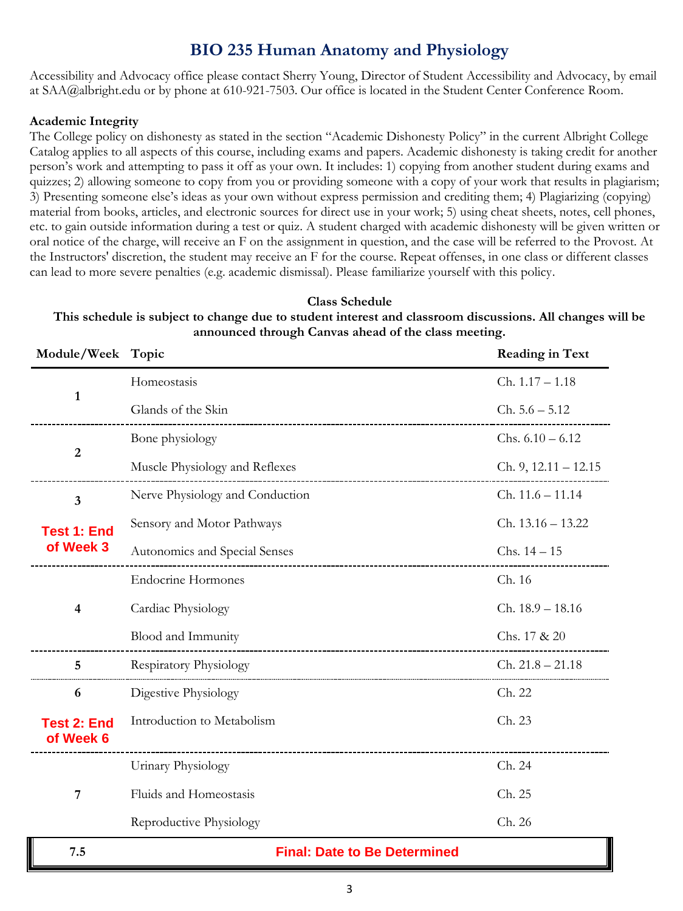Accessibility and Advocacy office please contact Sherry Young, Director of Student Accessibility and Advocacy, by email at SAA@albright.edu or by phone at 610-921-7503. Our office is located in the Student Center Conference Room.

#### **Academic Integrity**

The College policy on dishonesty as stated in the section "Academic Dishonesty Policy" in the current Albright College Catalog applies to all aspects of this course, including exams and papers. Academic dishonesty is taking credit for another person's work and attempting to pass it off as your own. It includes: 1) copying from another student during exams and quizzes; 2) allowing someone to copy from you or providing someone with a copy of your work that results in plagiarism; 3) Presenting someone else's ideas as your own without express permission and crediting them; 4) Plagiarizing (copying) material from books, articles, and electronic sources for direct use in your work; 5) using cheat sheets, notes, cell phones, etc. to gain outside information during a test or quiz. A student charged with academic dishonesty will be given written or oral notice of the charge, will receive an F on the assignment in question, and the case will be referred to the Provost. At the Instructors' discretion, the student may receive an F for the course. Repeat offenses, in one class or different classes can lead to more severe penalties (e.g. academic dismissal). Please familiarize yourself with this policy.

### **Class Schedule This schedule is subject to change due to student interest and classroom discussions. All changes will be announced through Canvas ahead of the class meeting.**

| Module/Week Topic               |                                     | <b>Reading in Text</b> |  |
|---------------------------------|-------------------------------------|------------------------|--|
|                                 | Homeostasis                         | $Ch. 1.17 - 1.18$      |  |
| $\mathbf{1}$                    | Glands of the Skin                  | $Ch. 5.6 - 5.12$       |  |
|                                 | Bone physiology                     | Chs. $6.10 - 6.12$     |  |
| $\overline{2}$                  | Muscle Physiology and Reflexes      | Ch. 9, $12.11 - 12.15$ |  |
| $\overline{\mathbf{3}}$         | Nerve Physiology and Conduction     | $Ch. 11.6 - 11.14$     |  |
| <b>Test 1: End</b>              | Sensory and Motor Pathways          | $Ch. 13.16 - 13.22$    |  |
| of Week 3                       | Autonomics and Special Senses       | $Chs. 14-15$           |  |
|                                 | <b>Endocrine Hormones</b>           | Ch. 16                 |  |
| 4                               | Cardiac Physiology                  | Ch. 18.9 - 18.16       |  |
|                                 | Blood and Immunity                  | Chs. 17 & 20           |  |
| 5                               | <b>Respiratory Physiology</b>       | $Ch. 21.8 - 21.18$     |  |
| 6                               | Digestive Physiology                | Ch. 22                 |  |
| <b>Test 2: End</b><br>of Week 6 | Introduction to Metabolism          | Ch. 23                 |  |
|                                 | Urinary Physiology                  | Ch. 24                 |  |
| 7                               | Fluids and Homeostasis              | Ch. 25                 |  |
|                                 | Reproductive Physiology             | Ch. 26                 |  |
| 7.5                             | <b>Final: Date to Be Determined</b> |                        |  |